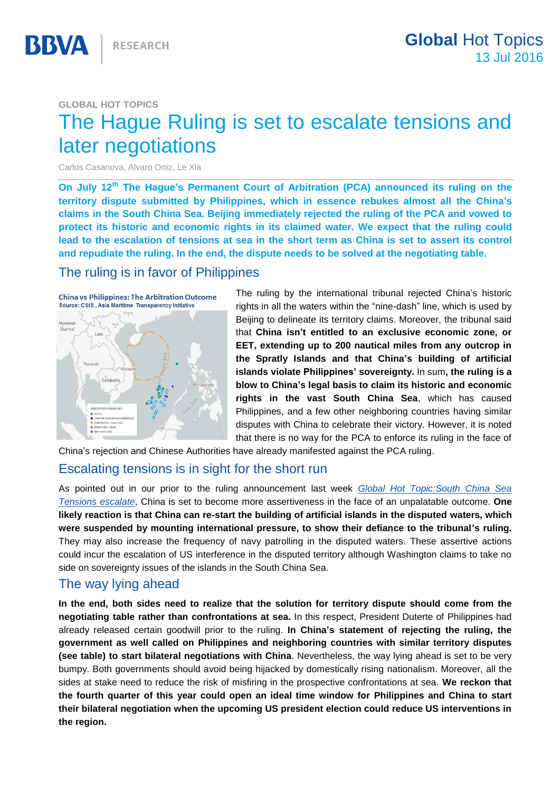#### **GLOBAL HOT TOPICS**

# The Hague Ruling is set to escalate tensions and later negotiations

Carlos Casanova, Alvaro Ortiz, Le Xia

**On July 12th The Hague's Permanent Court of Arbitration (PCA) announced its ruling on the territory dispute submitted by Philippines, which in essence rebukes almost all the China's claims in the South China Sea. Beijing immediately rejected the ruling of the PCA and vowed to protect its historic and economic rights in its claimed water. We expect that the ruling could lead to the escalation of tensions at sea in the short term as China is set to assert its control and repudiate the ruling. In the end, the dispute needs to be solved at the negotiating table.** 

## The ruling is in favor of Philippines



The ruling by the international tribunal rejected China's historic rights in all the waters within the "nine-dash" line, which is used by Beijing to delineate its territory claims. Moreover, the tribunal said that **China isn't entitled to an exclusive economic zone, or EET, extending up to 200 nautical miles from any outcrop in the Spratly Islands and that China's building of artificial islands violate Philippines' sovereignty.** In sum**, the ruling is a blow to China's legal basis to claim its historic and economic rights in the vast South China Sea**, which has caused Philippines, and a few other neighboring countries having similar disputes with China to celebrate their victory. However, it is noted that there is no way for the PCA to enforce its ruling in the face of

China's rejection and Chinese Authorities have already manifested against the PCA ruling.

## Escalating tensions is in sight for the short run

As pointed out in our prior to the ruling announcement last week *[Global Hot Topic:](https://www.bbvaresearch.com/en/publicaciones/south-china-sea-tensions-escalate/?utm_source=instant&utm_medium=enlace%20publicaci%C3%B3n&utm_campaign=20160707&utm_content=South%20China%20Sea%20tensions%20escalate%20%20)South China Sea Tensions escalate*, China is set to become more assertiveness in the face of an unpalatable outcome. **One likely reaction is that China can re-start the building of artificial islands in the disputed waters, which were suspended by mounting international pressure, to show their defiance to the tribunal's ruling.**  They may also increase the frequency of navy patrolling in the disputed waters. These assertive actions could incur the escalation of US interference in the disputed territory although Washington claims to take no side on sovereignty issues of the islands in the South China Sea.

## The way lying ahead

**In the end, both sides need to realize that the solution for territory dispute should come from the negotiating table rather than confrontations at sea.** In this respect, President Duterte of Philippines had already released certain goodwill prior to the ruling. **In China's statement of rejecting the ruling, the government as well called on Philippines and neighboring countries with similar territory disputes (see table) to start bilateral negotiations with China**. Nevertheless, the way lying ahead is set to be very bumpy. Both governments should avoid being hijacked by domestically rising nationalism. Moreover, all the sides at stake need to reduce the risk of misfiring in the prospective confrontations at sea. **We reckon that the fourth quarter of this year could open an ideal time window for Philippines and China to start their bilateral negotiation when the upcoming US president election could reduce US interventions in the region.**